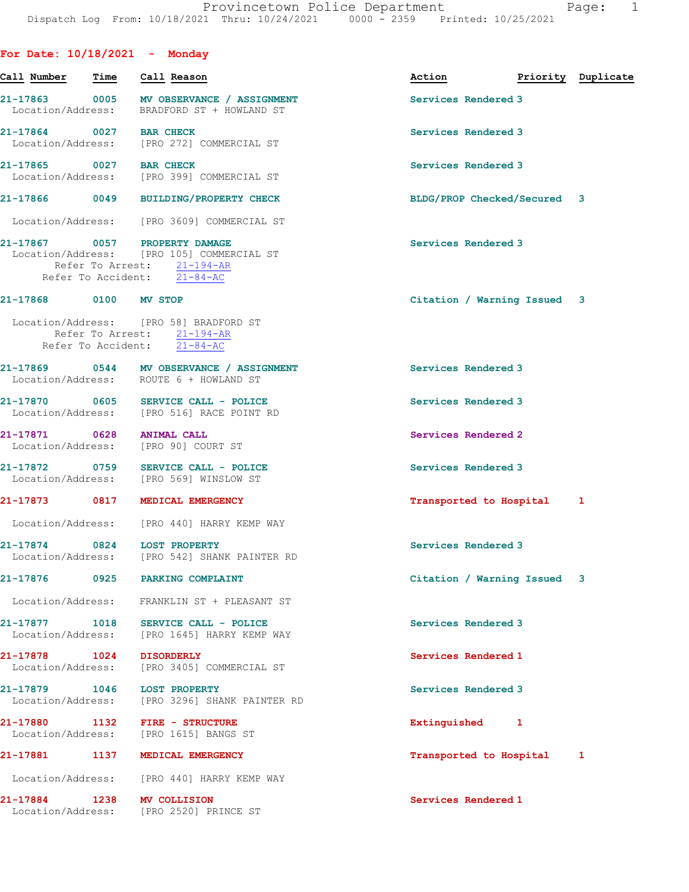| For Date: $10/18/2021$ - Monday |      |                                                                                                                                         |                             |                    |
|---------------------------------|------|-----------------------------------------------------------------------------------------------------------------------------------------|-----------------------------|--------------------|
| Call Number                     | Time | Call Reason                                                                                                                             | Action                      | Priority Duplicate |
|                                 |      | 21-17863 0005 MV OBSERVANCE / ASSIGNMENT<br>Location/Address: BRADFORD ST + HOWLAND ST                                                  | Services Rendered 3         |                    |
| 21-17864 0027 BAR CHECK         |      | Location/Address: [PRO 272] COMMERCIAL ST                                                                                               | Services Rendered 3         |                    |
| 21-17865 0027 BAR CHECK         |      | Location/Address: [PRO 399] COMMERCIAL ST                                                                                               | Services Rendered 3         |                    |
|                                 |      | 21-17866 0049 BUILDING/PROPERTY CHECK                                                                                                   | BLDG/PROP Checked/Secured 3 |                    |
|                                 |      | Location/Address: [PRO 3609] COMMERCIAL ST                                                                                              |                             |                    |
|                                 |      | 21-17867 0057 PROPERTY DAMAGE<br>Location/Address: [PRO 105] COMMERCIAL ST<br>Refer To Arrest: 21-194-AR<br>Refer To Accident: 21-84-AC | Services Rendered 3         |                    |
| 21-17868                        |      | 0100 MV STOP                                                                                                                            | Citation / Warning Issued 3 |                    |
|                                 |      | Location/Address: [PRO 58] BRADFORD ST<br>Refer To Arrest: 21-194-AR<br>Refer To Accident: 21-84-AC                                     |                             |                    |
|                                 |      | 21-17869 0544 MV OBSERVANCE / ASSIGNMENT<br>Location/Address: ROUTE 6 + HOWLAND ST                                                      | Services Rendered 3         |                    |
|                                 |      | 21-17870 0605 SERVICE CALL - POLICE<br>Location/Address: [PRO 516] RACE POINT RD                                                        | Services Rendered 3         |                    |
| 21-17871 0628                   |      | <b>ANIMAL CALL</b><br>Location/Address: [PRO 90] COURT ST                                                                               | Services Rendered 2         |                    |
|                                 |      | 21-17872 0759 SERVICE CALL - POLICE<br>Location/Address: [PRO 569] WINSLOW ST                                                           | Services Rendered 3         |                    |
|                                 |      | 21-17873 0817 MEDICAL EMERGENCY                                                                                                         | Transported to Hospital     | 1                  |
|                                 |      | Location/Address: [PRO 440] HARRY KEMP WAY                                                                                              |                             |                    |
| 21-17874<br>Location/Address:   |      | 0824 LOST PROPERTY<br>[PRO 542] SHANK PAINTER RD                                                                                        | Services Rendered 3         |                    |
| 21-17876                        | 0925 | <b>PARKING COMPLAINT</b>                                                                                                                | Citation / Warning Issued 3 |                    |
| Location/Address:               |      | FRANKLIN ST + PLEASANT ST                                                                                                               |                             |                    |
| 21-17877<br>Location/Address:   | 1018 | SERVICE CALL - POLICE<br>[PRO 1645] HARRY KEMP WAY                                                                                      | Services Rendered 3         |                    |
| 21-17878<br>Location/Address:   | 1024 | <b>DISORDERLY</b><br>[PRO 3405] COMMERCIAL ST                                                                                           | Services Rendered 1         |                    |
| 21-17879                        | 1046 | <b>LOST PROPERTY</b><br>Location/Address: [PRO 3296] SHANK PAINTER RD                                                                   | Services Rendered 3         |                    |
| 21-17880<br>Location/Address:   | 1132 | <b>FIRE - STRUCTURE</b><br>[PRO 1615] BANGS ST                                                                                          | Extinguished 1              |                    |
| 21-17881                        | 1137 | MEDICAL EMERGENCY                                                                                                                       | Transported to Hospital     | 1                  |
| Location/Address:               |      | [PRO 440] HARRY KEMP WAY                                                                                                                |                             |                    |
| 21-17884<br>Location/Address:   | 1238 | MV COLLISION<br>[PRO 2520] PRINCE ST                                                                                                    | Services Rendered 1         |                    |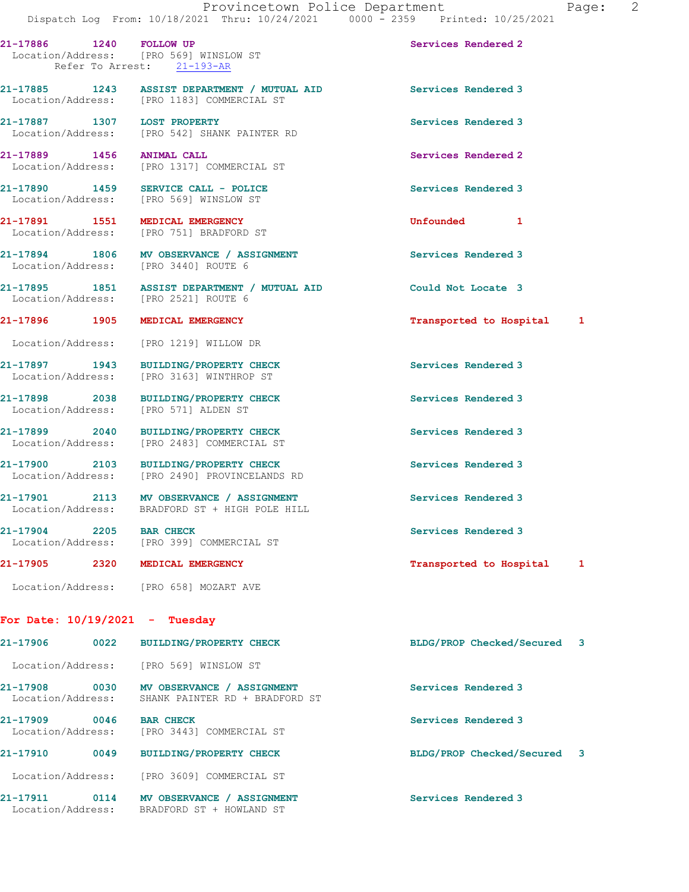21-17886 1240 FOLLOW UP Services Rendered 2 Location/Address: [PRO 569] WINSLOW ST Refer To Arrest: 21-193-AR

21-17885 1243 ASSIST DEPARTMENT / MUTUAL AID Services Rendered 3 Location/Address: [PRO 1183] COMMERCIAL ST

21-17887 1307 LOST PROPERTY Services Rendered 3 Location/Address: [PRO 542] SHANK PAINTER RD

21-17889 1456 ANIMAL CALL Services Rendered 2 Location/Address: [PRO 1317] COMMERCIAL ST

21-17890 1459 SERVICE CALL - POLICE Services Rendered 3 Location/Address: [PRO 569] WINSLOW ST

Location/Address: [PRO 751] BRADFORD ST

21-17894 1806 MV OBSERVANCE / ASSIGNMENT Services Rendered 3<br>
Location/Address: [PRO 3440] ROUTE 6 Location/Address:

21-17895 1851 ASSIST DEPARTMENT / MUTUAL AID Could Not Locate 3 Location/Address: [PRO 2521] ROUTE 6

Location/Address: [PRO 1219] WILLOW DR

21-17897 1943 BUILDING/PROPERTY CHECK Services Rendered 3 Location/Address: [PRO 3163] WINTHROP ST

21-17898 2038 BUILDING/PROPERTY CHECK Services Rendered 3 Location/Address: [PRO 571] ALDEN ST

21-17899 2040 BUILDING/PROPERTY CHECK Services Rendered 3 Location/Address: [PRO 2483] COMMERCIAL ST

21-17900 2103 BUILDING/PROPERTY CHECK Services Rendered 3 Location/Address: [PRO 2490] PROVINCELANDS RD

Location/Address: BRADFORD ST + HIGH POLE HILL

Location/Address: [PRO 399] COMMERCIAL ST

21-17905 2320 MEDICAL EMERGENCY Transported to Hospital 1

Location/Address: [PRO 658] MOZART AVE

## For Date: 10/19/2021 - Tuesday

21-17906 0022 BUILDING/PROPERTY CHECK BLDG/PROP Checked/Secured 3 Location/Address: [PRO 569] WINSLOW ST 21-17908 0030 MV OBSERVANCE / ASSIGNMENT Services Rendered 3 Location/Address: SHANK PAINTER RD + BRADFORD ST 21-17909 0046 BAR CHECK Services Rendered 3 Location/Address: [PRO 3443] COMMERCIAL ST 21-17910 0049 BUILDING/PROPERTY CHECK BLDG/PROP Checked/Secured 3 Location/Address: [PRO 3609] COMMERCIAL ST 21-17911 0114 MV OBSERVANCE / ASSIGNMENT Services Rendered 3 Location/Address: BRADFORD ST + HOWLAND ST

21-17891 1551 MEDICAL EMERGENCY 1 21-17891 Unfounded 1

21-17896 1905 MEDICAL EMERGENCY **1905** 1905 1905 1916

21-17901 2113 MV OBSERVANCE / ASSIGNMENT Services Rendered 3

21-17904 2205 BAR CHECK Services Rendered 3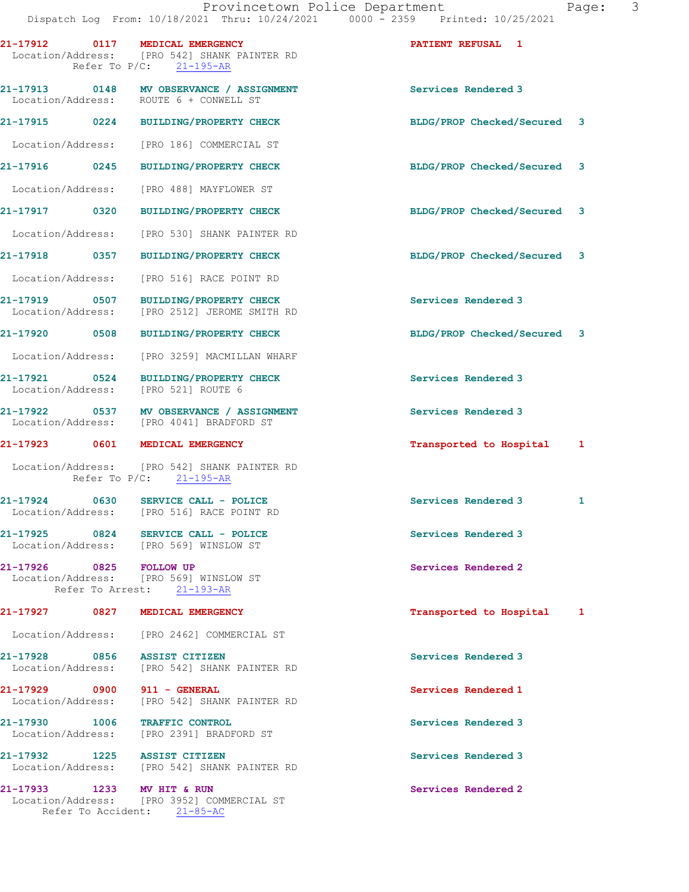|                               | 21-17912 0117 MEDICAL EMERGENCY<br>Location/Address: [PRO 542] SHANK PAINTER RD<br>Refer To $P/C$ : 21-195-AR | PATIENT REFUSAL 1           |              |
|-------------------------------|---------------------------------------------------------------------------------------------------------------|-----------------------------|--------------|
|                               | 21-17913 0148 MV OBSERVANCE / ASSIGNMENT<br>Location/Address: ROUTE 6 + CONWELL ST                            | Services Rendered 3         |              |
|                               | 21-17915 0224 BUILDING/PROPERTY CHECK                                                                         | BLDG/PROP Checked/Secured 3 |              |
|                               | Location/Address: [PRO 186] COMMERCIAL ST                                                                     |                             |              |
| 21-17916 0245                 | <b>BUILDING/PROPERTY CHECK</b>                                                                                | BLDG/PROP Checked/Secured 3 |              |
| Location/Address:             | [PRO 488] MAYFLOWER ST                                                                                        |                             |              |
| 21-17917 0320                 | BUILDING/PROPERTY CHECK                                                                                       | BLDG/PROP Checked/Secured 3 |              |
| Location/Address:             | [PRO 530] SHANK PAINTER RD                                                                                    |                             |              |
| 21-17918 0357                 | <b>BUILDING/PROPERTY CHECK</b>                                                                                | BLDG/PROP Checked/Secured 3 |              |
|                               | Location/Address: [PRO 516] RACE POINT RD                                                                     |                             |              |
| Location/Address:             | 21-17919 0507 BUILDING/PROPERTY CHECK<br>[PRO 2512] JEROME SMITH RD                                           | Services Rendered 3         |              |
| 21-17920 0508                 | <b>BUILDING/PROPERTY CHECK</b>                                                                                | BLDG/PROP Checked/Secured 3 |              |
|                               | Location/Address: [PRO 3259] MACMILLAN WHARF                                                                  |                             |              |
|                               | 21-17921 0524 BUILDING/PROPERTY CHECK<br>Location/Address: [PRO 521] ROUTE 6                                  | Services Rendered 3         |              |
|                               | 21-17922 0537 MV OBSERVANCE / ASSIGNMENT<br>Location/Address: [PRO 4041] BRADFORD ST                          | Services Rendered 3         |              |
|                               | 21-17923 0601 MEDICAL EMERGENCY                                                                               | Transported to Hospital 1   |              |
|                               | Location/Address: [PRO 542] SHANK PAINTER RD<br>Refer To $P/C$ : 21-195-AR                                    |                             |              |
|                               | 21-17924 0630 SERVICE CALL - POLICE<br>Location/Address: [PRO 516] RACE POINT RD                              | Services Rendered 3         | $\mathbf{1}$ |
|                               | 21-17925 0824 SERVICE CALL - POLICE<br>Location/Address: [PRO 569] WINSLOW ST                                 | Services Rendered 3         |              |
| 21-17926 0825 FOLLOW UP       | Location/Address: [PRO 569] WINSLOW ST<br>Refer To Arrest: 21-193-AR                                          | Services Rendered 2         |              |
|                               | 21-17927 0827 MEDICAL EMERGENCY                                                                               | Transported to Hospital 1   |              |
|                               | Location/Address: [PRO 2462] COMMERCIAL ST                                                                    |                             |              |
| 21-17928 0856 ASSIST CITIZEN  | Location/Address: [PRO 542] SHANK PAINTER RD                                                                  | Services Rendered 3         |              |
| 21-17929 0900 911 - GENERAL   | Location/Address: [PRO 542] SHANK PAINTER RD                                                                  | Services Rendered 1         |              |
| 21-17930 1006 TRAFFIC CONTROL | Location/Address: [PRO 2391] BRADFORD ST                                                                      | Services Rendered 3         |              |
| 21-17932 1225 ASSIST CITIZEN  | Location/Address: [PRO 542] SHANK PAINTER RD                                                                  | Services Rendered 3         |              |
| 21-17933 1233 MV HIT & RUN    | Location/Address: [PRO 3952] COMMERCIAL ST<br>Refer To Accident: 21-85-AC                                     | Services Rendered 2         |              |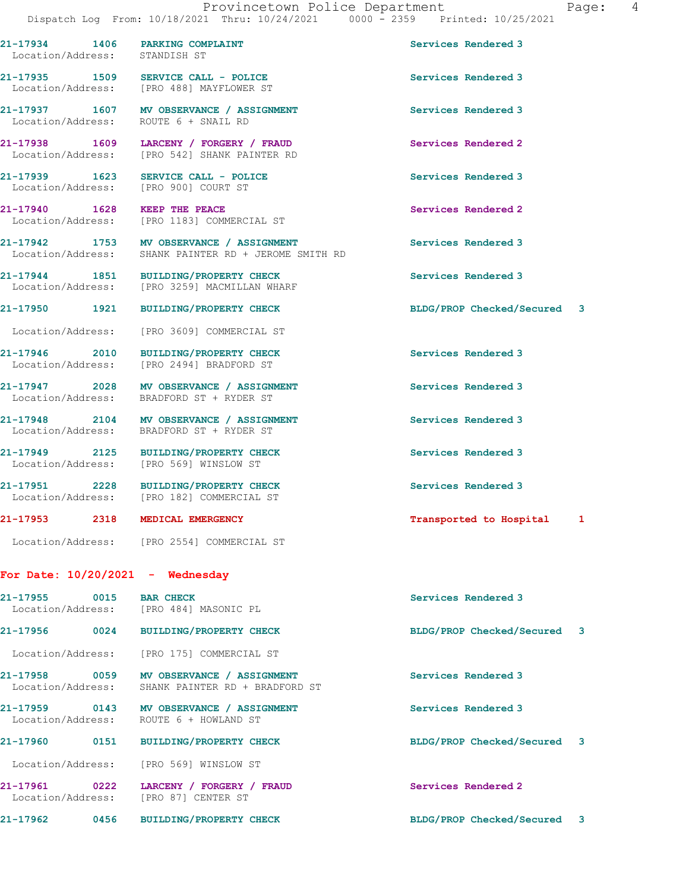21-17934 1406 PARKING COMPLAINT Services Rendered 3 Location/Address: STANDISH ST

21-17935 1509 SERVICE CALL - POLICE 21 Services Rendered 3 Location/Address: [PRO 488] MAYFLOWER ST

Location/Address: ROUTE 6 + SNAIL RD

Location/Address:

For Date: 10/20/2021 - Wednesday

21-17955 0015 BAR CHECK Services Rendered 3 Location/Address: [PRO 484] MASONIC PL 21-17956 0024 BUILDING/PROPERTY CHECK BLDG/PROP Checked/Secured 3 Location/Address: [PRO 175] COMMERCIAL ST 21-17958 0059 MV OBSERVANCE / ASSIGNMENT Services Rendered 3 Location/Address: SHANK PAINTER RD + BRADFORD ST 21-17959 0143 MV OBSERVANCE / ASSIGNMENT Services Rendered 3 Location/Address: ROUTE 6 + HOWLAND ST 21-17960 0151 BUILDING/PROPERTY CHECK BLDG/PROP Checked/Secured 3 Location/Address: [PRO 569] WINSLOW ST 21-17961 0222 LARCENY / FORGERY / FRAUD Services Rendered 2 Location/Address: [PRO 87] CENTER ST

21-17937 1607 MV OBSERVANCE / ASSIGNMENT Services Rendered 3

21-17938 1609 LARCENY / FORGERY / FRAUD Services Rendered 2<br>
Location/Address: [PRO 542] SHANK PAINTER RD [PRO 542] SHANK PAINTER RD

Location/Address: [PRO 900] COURT ST

21-17940 1628 KEEP THE PEACE Services Rendered 2 Location/Address: [PRO 1183] COMMERCIAL ST

21-17942 1753 MV OBSERVANCE / ASSIGNMENT Services Rendered 3 Location/Address: SHANK PAINTER RD + JEROME SMITH RD

21-17944 1851 BUILDING/PROPERTY CHECK Services Rendered 3 Location/Address: [PRO 3259] MACMILLAN WHARF

Location/Address: [PRO 3609] COMMERCIAL ST

21-17946 2010 BUILDING/PROPERTY CHECK Services Rendered 3 Location/Address: [PRO 2494] BRADFORD ST

21-17947 2028 MV OBSERVANCE / ASSIGNMENT Services Rendered 3 Location/Address: BRADFORD ST + RYDER ST

21-17948 2104 MV OBSERVANCE / ASSIGNMENT Services Rendered 3 Location/Address: BRADFORD ST + RYDER ST

21-17949 2125 BUILDING/PROPERTY CHECK Services Rendered 3

21-17951 2228 BUILDING/PROPERTY CHECK Services Rendered 3 Location/Address: [PRO 182] COMMERCIAL ST

Location/Address: [PRO 2554] COMMERCIAL ST

21-17962 0456 BUILDING/PROPERTY CHECK BLDG/PROP Checked/Secured 3

21-17939 1623 SERVICE CALL - POLICE Services Rendered 3

21-17950 1921 BUILDING/PROPERTY CHECK BLDG/PROP Checked/Secured 3

21-17953 2318 MEDICAL EMERGENCY Transported to Hospital 1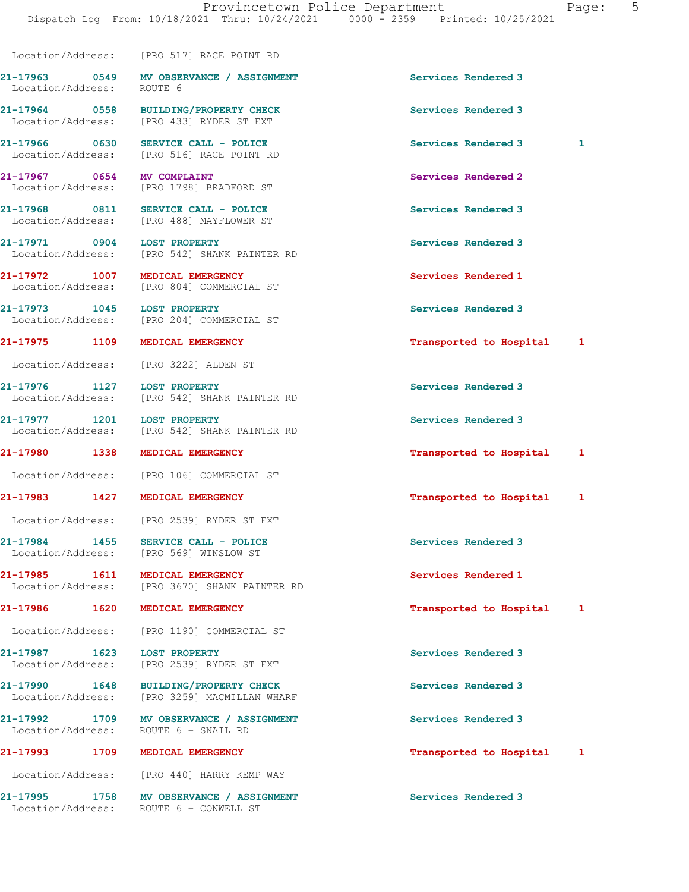Location/Address: [PRO 517] RACE POINT RD

21-17963 0549 MV OBSERVANCE / ASSIGNMENT Services Rendered 3 Location/Address: ROUTE 6

Location/Address: [PRO 433] RYDER ST EXT

21-17977 1201 LOST PROPERTY Services Rendered 3

21-17984 1455 SERVICE CALL - POLICE 21 Services Rendered 3

Location/Address:

21-17990 1648 BUILDING/PROPERTY CHECK Services Rendered 3 Location/Address: [PRO 3259] MACMILLAN WHARF

21-17992 1709 MV OBSERVANCE / ASSIGNMENT Services Rendered 3<br>
Location/Address: ROUTE 6 + SNAIL RD

Location/Address: [PRO 440] HARRY KEMP WAY

21-17995 1758 MV OBSERVANCE / ASSIGNMENT Services Rendered 3 Location/Address: ROUTE 6 + CONWELL ST

21-17964 0558 BUILDING/PROPERTY CHECK Services Rendered 3

21-17966 0630 SERVICE CALL - POLICE Services Rendered 3 1 [PRO 516] RACE POINT RD

21-17967 0654 MV COMPLAINT Services Rendered 2 Location/Address: [PRO 1798] BRADFORD ST

21-17968 0811 SERVICE CALL - POLICE 3 Services Rendered 3 Location/Address: [PRO 488] MAYFLOWER ST

21-17971 0904 LOST PROPERTY<br>
Location/Address: [PRO 542] SHANK PAINTER RD<br>
Services Rendered 3 [PRO 542] SHANK PAINTER RD

21-17972 1007 MEDICAL EMERGENCY Services Rendered 1 Location/Address: [PRO 804] COMMERCIAL ST

21-17973 1045 LOST PROPERTY Services Rendered 3 Location/Address: [PRO 204] COMMERCIAL ST

Location/Address: [PRO 3222] ALDEN ST

21-17976 1127 LOST PROPERTY Services Rendered 3 Location/Address: [PRO 542] SHANK PAINTER RD

Location/Address: [PRO 542] SHANK PAINTER RD

Location/Address: [PRO 106] COMMERCIAL ST

Location/Address: [PRO 2539] RYDER ST EXT

Location/Address: [PRO 569] WINSLOW ST

21-17985 1611 MEDICAL EMERGENCY Services Rendered 1 Location/Address: [PRO 3670] SHANK PAINTER RD

Location/Address: [PRO 1190] COMMERCIAL ST

21-17987 1623 LOST PROPERTY Services Rendered 3 Location/Address: [PRO 2539] RYDER ST EXT

21-17975 1109 MEDICAL EMERGENCY 1999 12-17975 1109 MEDICAL EMERGENCY

21-17980 1338 MEDICAL EMERGENCY **1200 1200 1200 1200 1200 1200 1200** 121 122 123 124 124 125 126 127 128 128 128 1

21-17983 1427 MEDICAL EMERGENCY Transported to Hospital 1

21-17986 1620 MEDICAL EMERGENCY Transported to Hospital 1

21-17993 1709 MEDICAL EMERGENCY 1999 17ansported to Hospital 1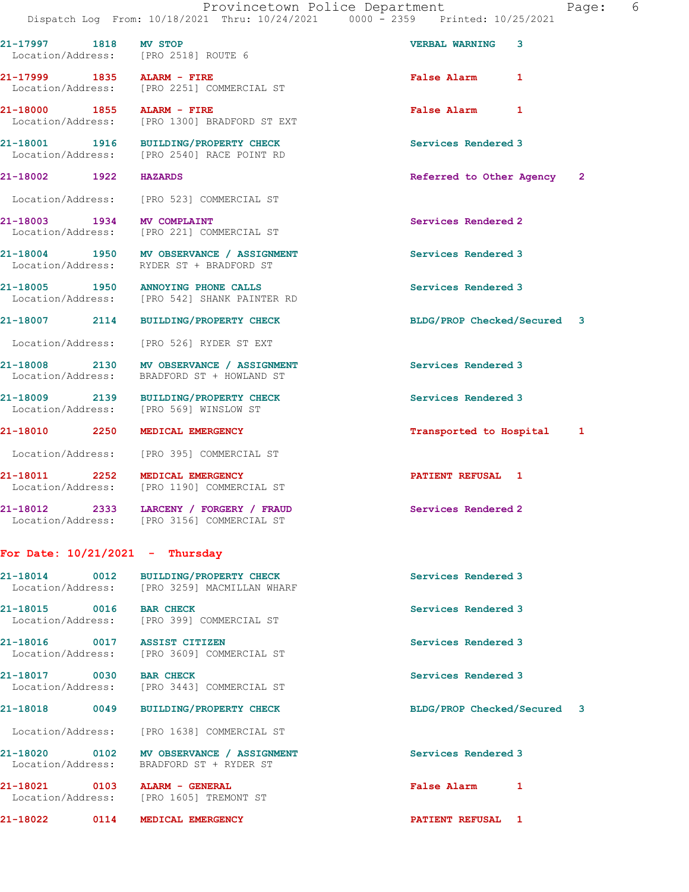21-17997 1818 MV STOP VERBAL WARNING 3

21-17999 1835 ALARM - FIRE **False Alarm** 1

21-18000 1855 ALARM - FIRE False Alarm 1

 Location/Address: [PRO 221] COMMERCIAL ST 21-18004 1950 MV OBSERVANCE / ASSIGNMENT Services Rendered 3 Location/Address: RYDER ST + BRADFORD ST 21-18005 1950 ANNOYING PHONE CALLS Services Rendered 3 Location/Address: [PRO 542] SHANK PAINTER RD 21-18007 2114 BUILDING/PROPERTY CHECK BLDG/PROP Checked/Secured 3 Location/Address: [PRO 526] RYDER ST EXT 21-18008 2130 MV OBSERVANCE / ASSIGNMENT Services Rendered 3 Location/Address: BRADFORD ST + HOWLAND ST 21-18009 2139 BUILDING/PROPERTY CHECK Services Rendered 3<br>
Location/Address: [PRO 569] WINSLOW ST [PRO 569] WINSLOW ST 21-18010 2250 MEDICAL EMERGENCY **Transported to Hospital** 1 Location/Address: [PRO 395] COMMERCIAL ST 21-18011 2252 MEDICAL EMERGENCY 2251 21-18011 Location/Address: [PRO 1190] COMMERCIAL ST 21-18012 2333 LARCENY / FORGERY / FRAUD Services Rendered 2 Location/Address: [PRO 3156] COMMERCIAL ST

## For Date:  $10/21/2021$  - Thursday

Location/Address: [PRO 2518] ROUTE 6

Location/Address: [PRO 2251] COMMERCIAL ST

Location/Address: [PRO 1300] BRADFORD ST EXT

Location/Address: [PRO 2540] RACE POINT RD

Location/Address: [PRO 523] COMMERCIAL ST

21-18014 0012 BUILDING/PROPERTY CHECK Services Rendered 3 Location/Address: [PRO 3259] MACMILLAN WHARF 21-18015 0016 BAR CHECK Services Rendered 3 Location/Address: [PRO 399] COMMERCIAL ST 21-18016 0017 ASSIST CITIZEN Services Rendered 3<br>
Location/Address: [PRO 3609] COMMERCIAL ST [PRO 3609] COMMERCIAL ST 21-18017 0030 BAR CHECK Services Rendered 3 [PRO 3443] COMMERCIAL ST 21-18018 0049 BUILDING/PROPERTY CHECK BLDG/PROP Checked/Secured 3 Location/Address: [PRO 1638] COMMERCIAL ST 21-18020 0102 MV OBSERVANCE / ASSIGNMENT Services Rendered 3 Location/Address: BRADFORD ST + RYDER ST 21-18021 0103 ALARM - GENERAL False Alarm 1

Location/Address: [PRO 1605] TREMONT ST

21-18022 0114 MEDICAL EMERGENCY PATIENT REFUSAL 1

21-18001 1916 BUILDING/PROPERTY CHECK Services Rendered 3 21-18002 1922 HAZARDS Referred to Other Agency 2

21-18003 1934 MV COMPLAINT Services Rendered 2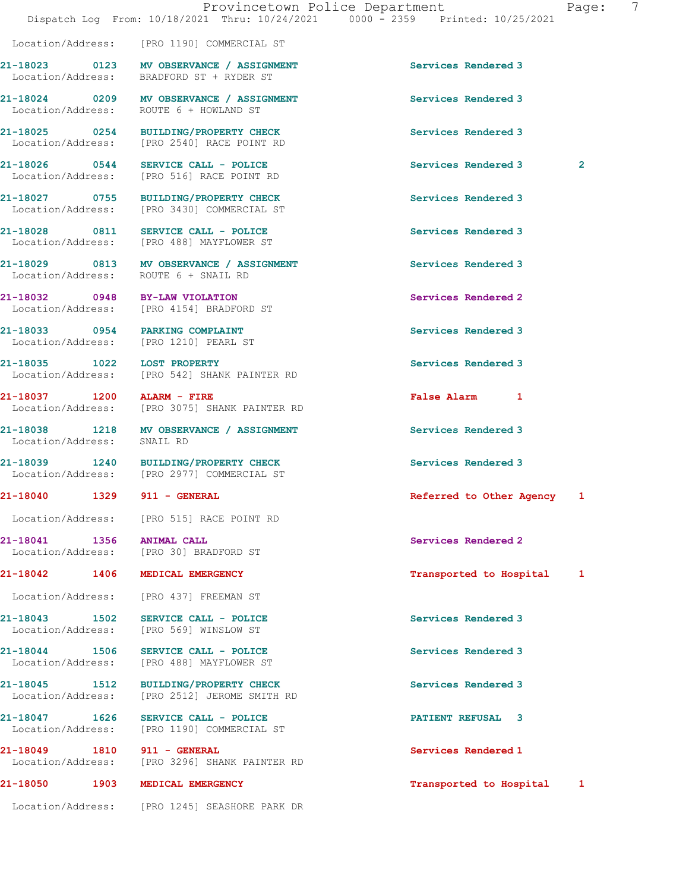Location/Address: [PRO 1190] COMMERCIAL ST

21-18023 0123 MV OBSERVANCE / ASSIGNMENT Services Rendered 3

21-18028 0811 SERVICE CALL - POLICE 21 Services Rendered 3

Location/Address: SNAIL RD

Location/Address: [PRO 30] BRADFORD ST

Location/Address: BRADFORD ST + RYDER ST

21-18024 0209 MV OBSERVANCE / ASSIGNMENT Services Rendered 3 Location/Address: ROUTE 6 + HOWLAND ST

21-18025 0254 BUILDING/PROPERTY CHECK Services Rendered 3 Location/Address: [PRO 2540] RACE POINT RD

21-18026 0544 SERVICE CALL - POLICE 20 Services Rendered 3 2 Location/Address: [PRO 516] RACE POINT RD

21-18027 0755 BUILDING/PROPERTY CHECK Services Rendered 3 Location/Address: [PRO 3430] COMMERCIAL ST

Location/Address: [PRO 488] MAYFLOWER ST

21-18029 0813 MV OBSERVANCE / ASSIGNMENT Services Rendered 3 Location/Address: ROUTE 6 + SNAIL RD

21-18032 0948 BY-LAW VIOLATION Services Rendered 2<br>
Location/Address: [PRO 4154] BRADFORD ST [PRO 4154] BRADFORD ST

21-18033 0954 PARKING COMPLAINT Services Rendered 3 Location/Address: [PRO 1210] PEARL ST

21-18035 1022 LOST PROPERTY Services Rendered 3 Location/Address: [PRO 542] SHANK PAINTER RD

21-18037 1200 ALARM - FIRE False Alarm 1 Location/Address: [PRO 3075] SHANK PAINTER RD

21-18038 1218 MV OBSERVANCE / ASSIGNMENT Services Rendered 3

21-18039 1240 BUILDING/PROPERTY CHECK Services Rendered 3 Location/Address: [PRO 2977] COMMERCIAL ST

Location/Address: [PRO 515] RACE POINT RD

21-18041 1356 ANIMAL CALL 30 Services Rendered 2

Location/Address: [PRO 437] FREEMAN ST

21-18043 1502 SERVICE CALL - POLICE 1999 Services Rendered 3<br>
Location/Address: [PRO 569] WINSLOW ST [PRO 569] WINSLOW ST

21-18044 1506 SERVICE CALL - POLICE Services Rendered 3 Location/Address: [PRO 488] MAYFLOWER ST

21-18045 1512 BUILDING/PROPERTY CHECK Services Rendered 3 Location/Address: [PRO 2512] JEROME SMITH RD

21-18047 1626 SERVICE CALL - POLICE PATIENT REFUSAL 3 Location/Address: [PRO 1190] COMMERCIAL ST

21-18049 1810 911 - GENERAL Services Rendered 1 Location/Address: [PRO 3296] SHANK PAINTER RD

21-18050 1903 MEDICAL EMERGENCY Transported to Hospital 1

Location/Address: [PRO 1245] SEASHORE PARK DR

21-18040 1329 911 - GENERAL Referred to Other Agency 1

21-18042 1406 MEDICAL EMERGENCY 1 21-18042 1 Transported to Hospital 1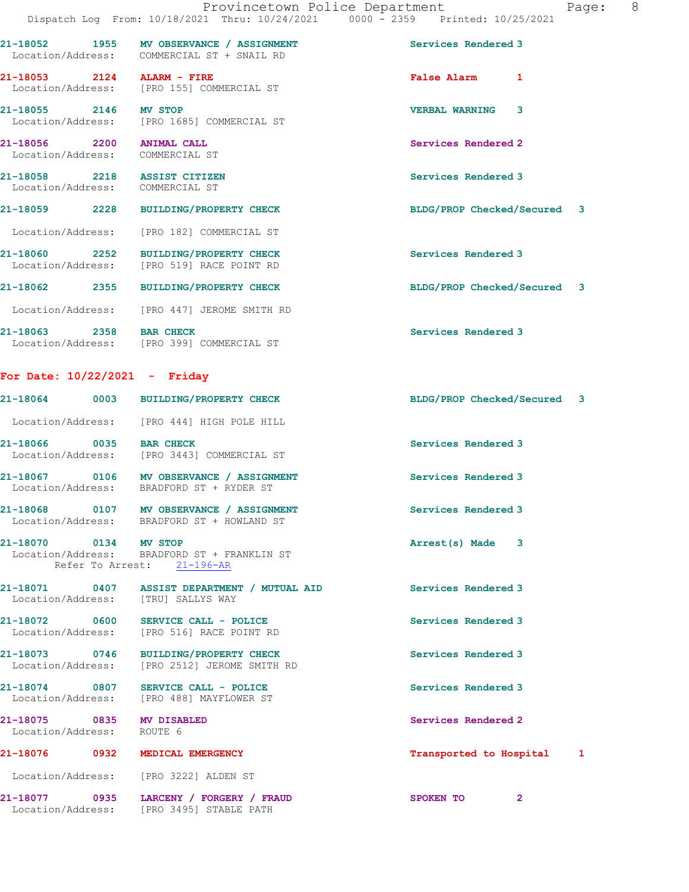| Page: | 8 |
|-------|---|
|       |   |
|       |   |

|                                                                 | Dispatch Log From: 10/18/2021 Thru: 10/24/2021                0000 - 2359    Printed: 10/25/2021 |                                         |
|-----------------------------------------------------------------|--------------------------------------------------------------------------------------------------|-----------------------------------------|
|                                                                 | 21-18052 1955 MV OBSERVANCE / ASSIGNMENT<br>Location/Address: COMMERCIAL ST + SNAIL RD           | Services Rendered 3                     |
| 21-18053 2124 ALARM - FIRE                                      | Location/Address: [PRO 155] COMMERCIAL ST                                                        | <b>False Alarm</b><br>1                 |
| 21-18055 2146 MV STOP                                           | Location/Address: [PRO 1685] COMMERCIAL ST                                                       | $\overline{3}$<br><b>VERBAL WARNING</b> |
| 21-18056 2200 ANIMAL CALL<br>Location/Address:                  | COMMERCIAL ST                                                                                    | Services Rendered 2                     |
| 21-18058 2218 ASSIST CITIZEN<br>Location/Address: COMMERCIAL ST |                                                                                                  | Services Rendered 3                     |
| 21-18059<br>2228                                                | <b>BUILDING/PROPERTY CHECK</b>                                                                   | BLDG/PROP Checked/Secured 3             |
|                                                                 | Location/Address: [PRO 182] COMMERCIAL ST                                                        |                                         |
| Location/Address:                                               | 21-18060 2252 BUILDING/PROPERTY CHECK<br>[PRO 519] RACE POINT RD                                 | Services Rendered 3                     |
|                                                                 | 21-18062 2355 BUILDING/PROPERTY CHECK                                                            | BLDG/PROP Checked/Secured 3             |
|                                                                 | Location/Address: [PRO 447] JEROME SMITH RD                                                      |                                         |

21-18063 2358 BAR CHECK Services Rendered 3 Location/Address: [PRO 399] COMMERCIAL ST

## For Date: 10/22/2021 - Friday

|                                                        | 21-18064 0003 BUILDING/PROPERTY CHECK                                                  | BLDG/PROP Checked/Secured 3 |
|--------------------------------------------------------|----------------------------------------------------------------------------------------|-----------------------------|
|                                                        | Location/Address: [PRO 444] HIGH POLE HILL                                             |                             |
| 21-18066 0035 BAR CHECK<br>Location/Address:           | [PRO 3443] COMMERCIAL ST                                                               | Services Rendered 3         |
|                                                        | 21-18067 0106 MV OBSERVANCE / ASSIGNMENT<br>Location/Address: BRADFORD ST + RYDER ST   | Services Rendered 3         |
|                                                        | 21-18068 0107 MV OBSERVANCE / ASSIGNMENT<br>Location/Address: BRADFORD ST + HOWLAND ST | Services Rendered 3         |
| 21-18070 0134 MV STOP<br>Refer To Arrest: 21-196-AR    | Location/Address: BRADFORD ST + FRANKLIN ST                                            | Arrest(s) Made 3            |
| Location/Address: [TRU] SALLYS WAY                     | 21-18071  0407  ASSIST DEPARTMENT / MUTUAL AID                                         | Services Rendered 3         |
|                                                        | 21-18072 0600 SERVICE CALL - POLICE<br>Location/Address: [PRO 516] RACE POINT RD       | Services Rendered 3         |
|                                                        | 21-18073 0746 BUILDING/PROPERTY CHECK<br>Location/Address: [PRO 2512] JEROME SMITH RD  | Services Rendered 3         |
|                                                        | 21-18074 0807 SERVICE CALL - POLICE<br>Location/Address: [PRO 488] MAYFLOWER ST        | Services Rendered 3         |
| 21-18075 0835 MV DISABLED<br>Location/Address: ROUTE 6 |                                                                                        | Services Rendered 2         |
|                                                        | 21-18076 0932 MEDICAL EMERGENCY                                                        | Transported to Hospital 1   |
|                                                        | Location/Address: [PRO 3222] ALDEN ST                                                  |                             |
|                                                        | 21-18077 0935 LARCENY / FORGERY / FRAUD<br>Location/Address: [PRO 3495] STABLE PATH    | $\overline{2}$<br>SPOKEN TO |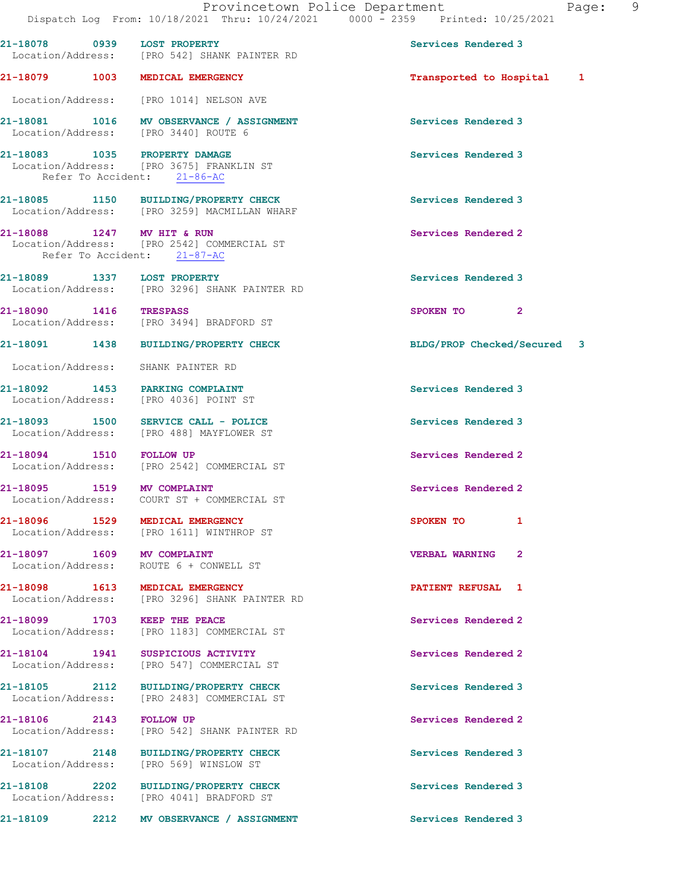|                                    |      | Dispatch Log From: 10/18/2021 Thru: 10/24/2021 0000 - 2359 Printed: 10/25/2021                           | Provincetown Police Department<br>- 9<br>Page: |
|------------------------------------|------|----------------------------------------------------------------------------------------------------------|------------------------------------------------|
|                                    |      | 21-18078 0939 LOST PROPERTY<br>Location/Address: [PRO 542] SHANK PAINTER RD                              | Services Rendered 3                            |
|                                    |      | 21-18079 1003 MEDICAL EMERGENCY                                                                          | Transported to Hospital 1                      |
|                                    |      | Location/Address: [PRO 1014] NELSON AVE                                                                  |                                                |
|                                    |      | 21-18081 1016 MV OBSERVANCE / ASSIGNMENT<br>Location/Address: [PRO 3440] ROUTE 6                         | Services Rendered 3                            |
|                                    |      | 21-18083 1035 PROPERTY DAMAGE<br>Location/Address: [PRO 3675] FRANKLIN ST<br>Refer To Accident: 21-86-AC | Services Rendered 3                            |
|                                    |      | 21-18085 1150 BUILDING/PROPERTY CHECK<br>Location/Address: [PRO 3259] MACMILLAN WHARF                    | Services Rendered 3                            |
|                                    |      | 21-18088 1247 MV HIT & RUN<br>Location/Address: [PRO 2542] COMMERCIAL ST<br>Refer To Accident: 21-87-AC  | Services Rendered 2                            |
|                                    |      | 21-18089 1337 LOST PROPERTY<br>Location/Address: [PRO 3296] SHANK PAINTER RD                             | Services Rendered 3                            |
| 21-18090 1416 TRESPASS             |      | Location/Address: [PRO 3494] BRADFORD ST                                                                 | SPOKEN TO<br>$\mathbf{2}$                      |
|                                    |      | 21-18091 1438 BUILDING/PROPERTY CHECK                                                                    | BLDG/PROP Checked/Secured 3                    |
|                                    |      | Location/Address: SHANK PAINTER RD                                                                       |                                                |
|                                    |      | 21-18092 1453 PARKING COMPLAINT<br>Location/Address: [PRO 4036] POINT ST                                 | Services Rendered 3                            |
|                                    |      | 21-18093 1500 SERVICE CALL - POLICE<br>Location/Address: [PRO 488] MAYFLOWER ST                          | Services Rendered 3                            |
| 21-18094 1510 FOLLOW UP            |      | Location/Address: [PRO 2542] COMMERCIAL ST                                                               | Services Rendered 2                            |
|                                    |      | 21-18095 1519 MV COMPLAINT<br>Location/Address: COURT ST + COMMERCIAL ST                                 | Services Rendered 2                            |
|                                    |      | 21-18096 1529 MEDICAL EMERGENCY<br>Location/Address: [PRO 1611] WINTHROP ST                              | SPOKEN TO<br>1                                 |
| Location/Address:                  |      | 21-18097 1609 MV COMPLAINT<br>ROUTE 6 + CONWELL ST                                                       | <b>VERBAL WARNING</b><br>$\mathbf{2}$          |
|                                    |      | 21-18098 1613 MEDICAL EMERGENCY<br>Location/Address: [PRO 3296] SHANK PAINTER RD                         | PATIENT REFUSAL 1                              |
| 21-18099 1703<br>Location/Address: |      | KEEP THE PEACE<br>[PRO 1183] COMMERCIAL ST                                                               | Services Rendered 2                            |
| 21-18104 1941                      |      | SUSPICIOUS ACTIVITY<br>Location/Address: [PRO 547] COMMERCIAL ST                                         | Services Rendered 2                            |
|                                    |      | 21-18105 2112 BUILDING/PROPERTY CHECK<br>Location/Address: [PRO 2483] COMMERCIAL ST                      | Services Rendered 3                            |
| 21-18106 2143 FOLLOW UP            |      | Location/Address: [PRO 542] SHANK PAINTER RD                                                             | Services Rendered 2                            |
|                                    |      | 21-18107 2148 BUILDING/PROPERTY CHECK<br>Location/Address: [PRO 569] WINSLOW ST                          | Services Rendered 3                            |
|                                    |      | 21-18108 2202 BUILDING/PROPERTY CHECK<br>Location/Address: [PRO 4041] BRADFORD ST                        | Services Rendered 3                            |
| 21-18109                           | 2212 | MV OBSERVANCE / ASSIGNMENT                                                                               | Services Rendered 3                            |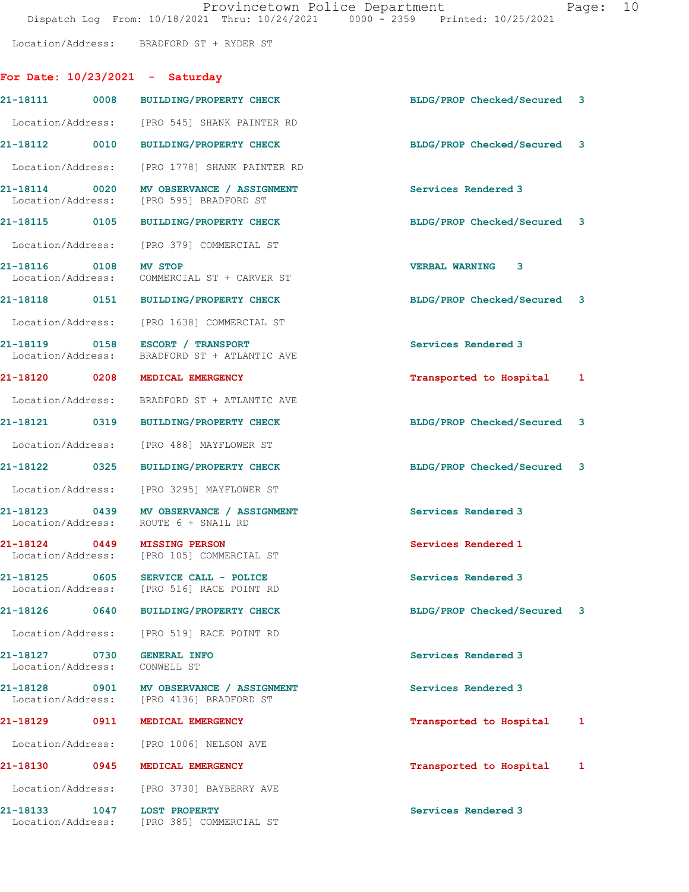Location/Address: BRADFORD ST + RYDER ST

## For Date: 10/23/2021 - Saturday

|                                                 |      | 21-18111 0008 BUILDING/PROPERTY CHECK                                                | BLDG/PROP Checked/Secured 3 |   |
|-------------------------------------------------|------|--------------------------------------------------------------------------------------|-----------------------------|---|
|                                                 |      | Location/Address: [PRO 545] SHANK PAINTER RD                                         |                             |   |
|                                                 |      | 21-18112 0010 BUILDING/PROPERTY CHECK                                                | BLDG/PROP Checked/Secured 3 |   |
|                                                 |      | Location/Address: [PRO 1778] SHANK PAINTER RD                                        |                             |   |
|                                                 |      | 21-18114 0020 MV OBSERVANCE / ASSIGNMENT<br>Location/Address: [PRO 595] BRADFORD ST  | Services Rendered 3         |   |
|                                                 |      | 21-18115 0105 BUILDING/PROPERTY CHECK                                                | BLDG/PROP Checked/Secured 3 |   |
|                                                 |      | Location/Address: [PRO 379] COMMERCIAL ST                                            |                             |   |
| 21-18116 0108 MV STOP                           |      | Location/Address: COMMERCIAL ST + CARVER ST                                          | <b>VERBAL WARNING 3</b>     |   |
|                                                 |      | 21-18118 0151 BUILDING/PROPERTY CHECK                                                | BLDG/PROP Checked/Secured 3 |   |
|                                                 |      | Location/Address: [PRO 1638] COMMERCIAL ST                                           |                             |   |
|                                                 |      | 21-18119 0158 ESCORT / TRANSPORT<br>Location/Address: BRADFORD ST + ATLANTIC AVE     | Services Rendered 3         |   |
|                                                 |      | 21-18120 0208 MEDICAL EMERGENCY                                                      | Transported to Hospital 1   |   |
|                                                 |      | Location/Address: BRADFORD ST + ATLANTIC AVE                                         |                             |   |
|                                                 |      | 21-18121 0319 BUILDING/PROPERTY CHECK                                                | BLDG/PROP Checked/Secured 3 |   |
|                                                 |      | Location/Address: [PRO 488] MAYFLOWER ST                                             |                             |   |
|                                                 |      | 21-18122 0325 BUILDING/PROPERTY CHECK                                                | BLDG/PROP Checked/Secured 3 |   |
|                                                 |      | Location/Address: [PRO 3295] MAYFLOWER ST                                            |                             |   |
|                                                 |      | 21-18123 0439 MV OBSERVANCE / ASSIGNMENT<br>Location/Address: ROUTE 6 + SNAIL RD     | Services Rendered 3         |   |
|                                                 |      | 21-18124 0449 MISSING PERSON<br>Location/Address: [PRO 105] COMMERCIAL ST            | Services Rendered 1         |   |
|                                                 |      | 21-18125 0605 SERVICE CALL - POLICE<br>Location/Address: [PRO 516] RACE POINT RD     | Services Rendered 3         |   |
| 21-18126                                        |      | 0640 BUILDING/PROPERTY CHECK                                                         | BLDG/PROP Checked/Secured 3 |   |
|                                                 |      | Location/Address: [PRO 519] RACE POINT RD                                            |                             |   |
| 21-18127 0730 GENERAL INFO<br>Location/Address: |      | CONWELL ST                                                                           | Services Rendered 3         |   |
|                                                 |      | 21-18128 0901 MV OBSERVANCE / ASSIGNMENT<br>Location/Address: [PRO 4136] BRADFORD ST | Services Rendered 3         |   |
| 21-18129                                        | 0911 | MEDICAL EMERGENCY                                                                    | Transported to Hospital     | 1 |
|                                                 |      | Location/Address: [PRO 1006] NELSON AVE                                              |                             |   |
|                                                 |      | 21-18130 0945 MEDICAL EMERGENCY                                                      | Transported to Hospital     | 1 |
|                                                 |      | Location/Address: [PRO 3730] BAYBERRY AVE                                            |                             |   |
| 21-18133                                        | 1047 | <b>LOST PROPERTY</b><br>Location/Address: [PRO 385] COMMERCIAL ST                    | Services Rendered 3         |   |
|                                                 |      |                                                                                      |                             |   |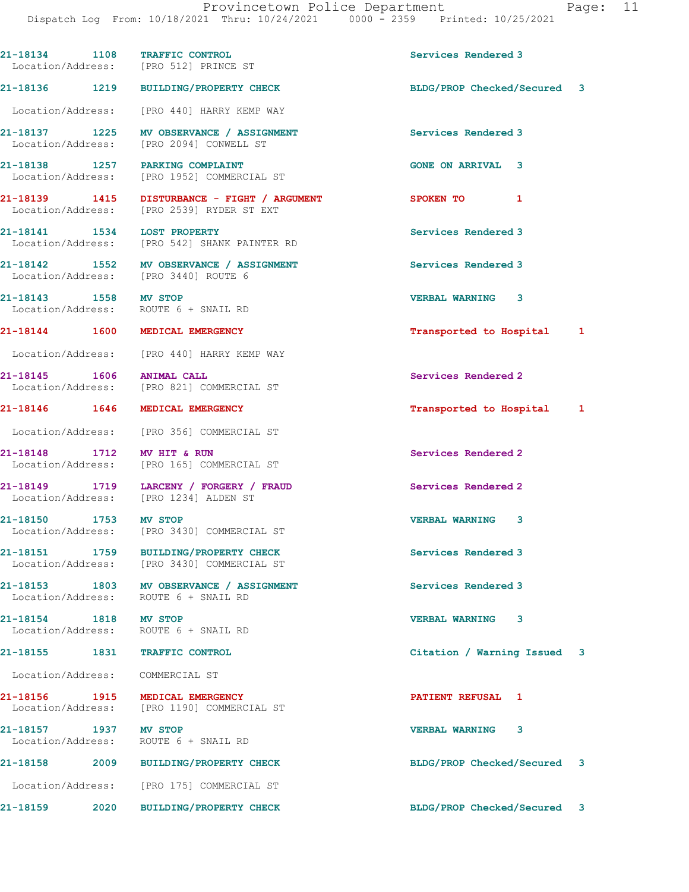|                                            |      | 21-18134 1108 TRAFFIC CONTROL<br>Location/Address: [PRO 512] PRINCE ST                    | Services Rendered 3         |   |
|--------------------------------------------|------|-------------------------------------------------------------------------------------------|-----------------------------|---|
|                                            |      | 21-18136 1219 BUILDING/PROPERTY CHECK                                                     | BLDG/PROP Checked/Secured 3 |   |
|                                            |      | Location/Address: [PRO 440] HARRY KEMP WAY                                                |                             |   |
|                                            |      | 21-18137 1225 MV OBSERVANCE / ASSIGNMENT<br>Location/Address: [PRO 2094] CONWELL ST       | Services Rendered 3         |   |
|                                            |      | 21-18138 1257 PARKING COMPLAINT<br>Location/Address: [PRO 1952] COMMERCIAL ST             | <b>GONE ON ARRIVAL 3</b>    |   |
|                                            |      | 21-18139 1415 DISTURBANCE - FIGHT / ARGUMENT<br>Location/Address: [PRO 2539] RYDER ST EXT | SPOKEN TO<br>$\mathbf{1}$   |   |
|                                            |      | 21-18141 1534 LOST PROPERTY<br>Location/Address: [PRO 542] SHANK PAINTER RD               | Services Rendered 3         |   |
|                                            |      | 21-18142 1552 MV OBSERVANCE / ASSIGNMENT<br>Location/Address: [PRO 3440] ROUTE 6          | Services Rendered 3         |   |
| 21-18143 1558 MV STOP                      |      | Location/Address: ROUTE 6 + SNAIL RD                                                      | <b>VERBAL WARNING 3</b>     |   |
|                                            |      | 21-18144 1600 MEDICAL EMERGENCY                                                           | Transported to Hospital     | 1 |
|                                            |      | Location/Address: [PRO 440] HARRY KEMP WAY                                                |                             |   |
| 21-18145   1606   ANIMAL CALL              |      | Location/Address: [PRO 821] COMMERCIAL ST                                                 | Services Rendered 2         |   |
|                                            |      | 21-18146  1646  MEDICAL EMERGENCY                                                         | Transported to Hospital 1   |   |
|                                            |      | Location/Address: [PRO 356] COMMERCIAL ST                                                 |                             |   |
| 21-18148 1712 MV HIT & RUN                 |      | Location/Address: [PRO 165] COMMERCIAL ST                                                 | Services Rendered 2         |   |
|                                            |      | 21-18149 1719 LARCENY / FORGERY / FRAUD<br>Location/Address: [PRO 1234] ALDEN ST          | Services Rendered 2         |   |
|                                            |      | 21-18150 1753 MV STOP<br>Location/Address: [PRO 3430] COMMERCIAL ST                       | <b>VERBAL WARNING 3</b>     |   |
|                                            |      | 21-18151 1759 BUILDING/PROPERTY CHECK<br>Location/Address: [PRO 3430] COMMERCIAL ST       | Services Rendered 3         |   |
|                                            |      | 21-18153 1803 MV OBSERVANCE / ASSIGNMENT<br>Location/Address: ROUTE 6 + SNAIL RD          | Services Rendered 3         |   |
| 21-18154 1818 MV STOP                      |      | Location/Address: ROUTE 6 + SNAIL RD                                                      | <b>VERBAL WARNING</b><br>3  |   |
|                                            |      | 21-18155 1831 TRAFFIC CONTROL                                                             | Citation / Warning Issued   | 3 |
| Location/Address: COMMERCIAL ST            |      |                                                                                           |                             |   |
| Location/Address:                          |      | 21-18156 1915 MEDICAL EMERGENCY<br>[PRO 1190] COMMERCIAL ST                               | PATIENT REFUSAL 1           |   |
| 21-18157 1937 MV STOP<br>Location/Address: |      | ROUTE 6 + SNAIL RD                                                                        | <b>VERBAL WARNING</b><br>3  |   |
|                                            |      | 21-18158 2009 BUILDING/PROPERTY CHECK                                                     | BLDG/PROP Checked/Secured 3 |   |
|                                            |      | Location/Address: [PRO 175] COMMERCIAL ST                                                 |                             |   |
| 21-18159                                   | 2020 | <b>BUILDING/PROPERTY CHECK</b>                                                            | BLDG/PROP Checked/Secured   | 3 |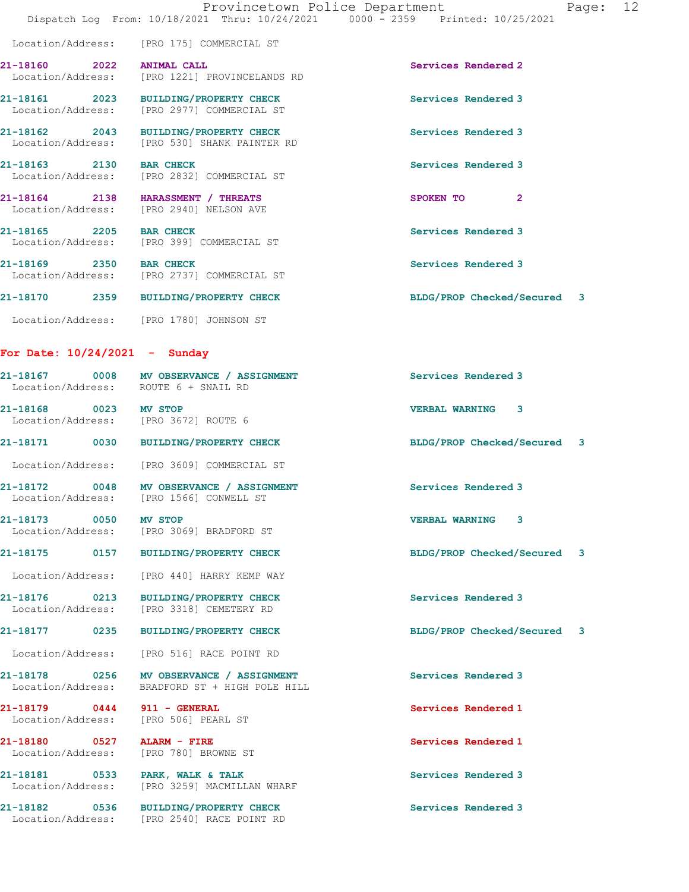|                                                                               | Provincetown Police Department<br>Dispatch Log From: 10/18/2021 Thru: 10/24/2021 0000 - 2359 Printed: 10/25/2021 |                             | Page: 12 |  |
|-------------------------------------------------------------------------------|------------------------------------------------------------------------------------------------------------------|-----------------------------|----------|--|
|                                                                               | Location/Address: [PRO 175] COMMERCIAL ST                                                                        |                             |          |  |
| 21-18160 2022 ANIMAL CALL                                                     | Location/Address: [PRO 1221] PROVINCELANDS RD                                                                    | Services Rendered 2         |          |  |
|                                                                               | 21-18161 2023 BUILDING/PROPERTY CHECK<br>Location/Address: [PRO 2977] COMMERCIAL ST                              | Services Rendered 3         |          |  |
|                                                                               | 21-18162 2043 BUILDING/PROPERTY CHECK<br>Location/Address: [PRO 530] SHANK PAINTER RD                            | Services Rendered 3         |          |  |
| 21-18163 2130 BAR CHECK                                                       | Location/Address: [PRO 2832] COMMERCIAL ST                                                                       | Services Rendered 3         |          |  |
| 21-18164 2138 HARASSMENT / THREATS<br>Location/Address: [PRO 2940] NELSON AVE |                                                                                                                  | SPOKEN TO 2                 |          |  |
|                                                                               | 21-18165 2205 BAR CHECK<br>Location/Address: [PRO 399] COMMERCIAL ST                                             | Services Rendered 3         |          |  |
| 21-18169 2350 BAR CHECK                                                       | Location/Address: [PRO 2737] COMMERCIAL ST                                                                       | Services Rendered 3         |          |  |
|                                                                               | 21-18170 2359 BUILDING/PROPERTY CHECK                                                                            | BLDG/PROP Checked/Secured 3 |          |  |
| Location/Address: [PRO 1780] JOHNSON ST                                       |                                                                                                                  |                             |          |  |
| For Date: $10/24/2021$ - Sunday                                               |                                                                                                                  |                             |          |  |
| Location/Address: ROUTE 6 + SNAIL RD                                          | 21-18167 0008 MV OBSERVANCE / ASSIGNMENT                                                                         | Services Rendered 3         |          |  |
| 21-18168 0023 MV STOP<br>Location/Address: [PRO 3672] ROUTE 6                 |                                                                                                                  | <b>VERBAL WARNING 3</b>     |          |  |
|                                                                               | 21-18171 0030 BUILDING/PROPERTY CHECK                                                                            | BLDG/PROP Checked/Secured 3 |          |  |
|                                                                               | Location/Address: [PRO 3609] COMMERCIAL ST                                                                       |                             |          |  |
| Location/Address: [PRO 1566] CONWELL ST                                       | 21-18172 0048 MV OBSERVANCE / ASSIGNMENT                                                                         | Services Rendered 3         |          |  |
| 21-18173 0050 MV STOP                                                         | Location/Address: [PRO 3069] BRADFORD ST                                                                         | <b>VERBAL WARNING 3</b>     |          |  |
|                                                                               | 21-18175 0157 BUILDING/PROPERTY CHECK                                                                            | BLDG/PROP Checked/Secured 3 |          |  |
|                                                                               | Location/Address: [PRO 440] HARRY KEMP WAY                                                                       |                             |          |  |
|                                                                               | 21-18176 0213 BUILDING/PROPERTY CHECK<br>Location/Address: [PRO 3318] CEMETERY RD                                | Services Rendered 3         |          |  |
|                                                                               | 21-18177 0235 BUILDING/PROPERTY CHECK                                                                            | BLDG/PROP Checked/Secured 3 |          |  |
|                                                                               | Location/Address: [PRO 516] RACE POINT RD                                                                        |                             |          |  |
| Location/Address:                                                             | 21-18178 0256 MV OBSERVANCE / ASSIGNMENT<br>BRADFORD ST + HIGH POLE HILL                                         | Services Rendered 3         |          |  |
| 21-18179 0444 911 - GENERAL<br>Location/Address: [PRO 506] PEARL ST           |                                                                                                                  | Services Rendered 1         |          |  |
| 21-18180 0527 ALARM - FIRE<br>Location/Address:                               | [PRO 780] BROWNE ST                                                                                              | Services Rendered 1         |          |  |
| 21-18181 0533 PARK, WALK & TALK                                               | Location/Address: [PRO 3259] MACMILLAN WHARF                                                                     | Services Rendered 3         |          |  |
|                                                                               | 21-18182 0536 BUILDING/PROPERTY CHECK<br>Location/Address: [PRO 2540] RACE POINT RD                              | Services Rendered 3         |          |  |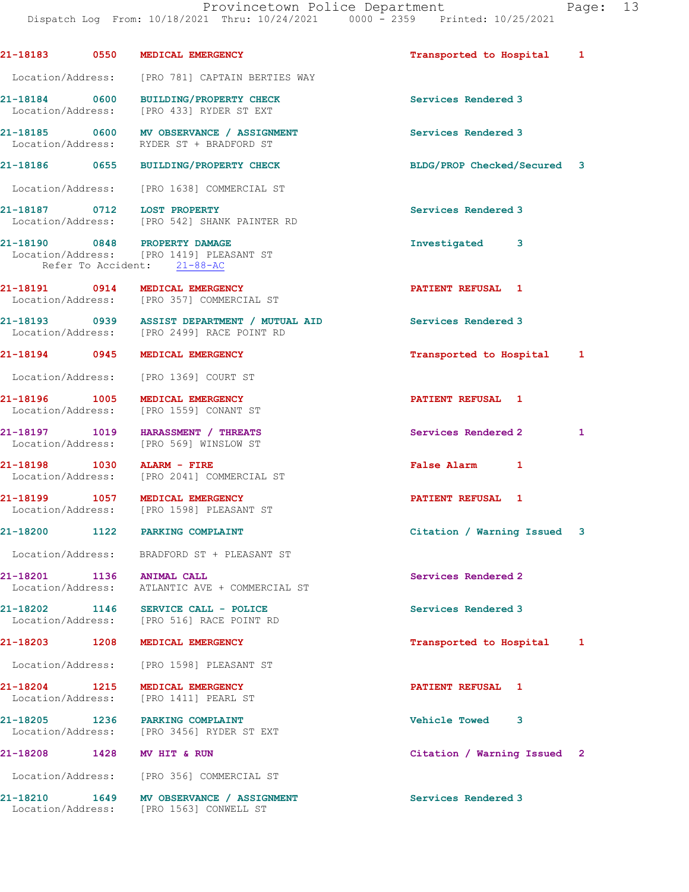|                            | 21-18183 0550 MEDICAL EMERGENCY                                                                          | Transported to Hospital     | 1 |
|----------------------------|----------------------------------------------------------------------------------------------------------|-----------------------------|---|
|                            | Location/Address: [PRO 781] CAPTAIN BERTIES WAY                                                          |                             |   |
| 21-18184 0600              | <b>BUILDING/PROPERTY CHECK</b><br>Location/Address: [PRO 433] RYDER ST EXT                               | Services Rendered 3         |   |
|                            | 21-18185 0600 MV OBSERVANCE / ASSIGNMENT<br>Location/Address: RYDER ST + BRADFORD ST                     | Services Rendered 3         |   |
|                            | 21-18186 0655 BUILDING/PROPERTY CHECK                                                                    | BLDG/PROP Checked/Secured 3 |   |
|                            | Location/Address: [PRO 1638] COMMERCIAL ST                                                               |                             |   |
|                            | 21-18187 0712 LOST PROPERTY<br>Location/Address: [PRO 542] SHANK PAINTER RD                              | Services Rendered 3         |   |
|                            | 21-18190 0848 PROPERTY DAMAGE<br>Location/Address: [PRO 1419] PLEASANT ST<br>Refer To Accident: 21-88-AC | Investigated 3              |   |
|                            | 21-18191 0914 MEDICAL EMERGENCY<br>Location/Address: [PRO 357] COMMERCIAL ST                             | <b>PATIENT REFUSAL 1</b>    |   |
|                            | 21-18193 0939 ASSIST DEPARTMENT / MUTUAL AID<br>Location/Address: [PRO 2499] RACE POINT RD               | Services Rendered 3         |   |
|                            | 21-18194 0945 MEDICAL EMERGENCY                                                                          | Transported to Hospital     | 1 |
|                            | Location/Address: [PRO 1369] COURT ST                                                                    |                             |   |
| 21-18196 1005              | MEDICAL EMERGENCY<br>Location/Address: [PRO 1559] CONANT ST                                              | PATIENT REFUSAL 1           |   |
|                            | 21-18197 1019 HARASSMENT / THREATS<br>Location/Address: [PRO 569] WINSLOW ST                             | Services Rendered 2         | 1 |
| 21-18198 1030 ALARM - FIRE | Location/Address: [PRO 2041] COMMERCIAL ST                                                               | False Alarm 1               |   |
|                            | 21-18199 1057 MEDICAL EMERGENCY<br>Location/Address: [PRO 1598] PLEASANT ST                              | PATIENT REFUSAL 1           |   |
|                            | 21-18200 1122 PARKING COMPLAINT                                                                          | Citation / Warning Issued 3 |   |
|                            | Location/Address: BRADFORD ST + PLEASANT ST                                                              |                             |   |
| 21-18201 1136 ANIMAL CALL  | Location/Address: ATLANTIC AVE + COMMERCIAL ST                                                           | Services Rendered 2         |   |
|                            | 21-18202 1146 SERVICE CALL - POLICE<br>Location/Address: [PRO 516] RACE POINT RD                         | Services Rendered 3         |   |
|                            | 21-18203 1208 MEDICAL EMERGENCY                                                                          | Transported to Hospital     | 1 |
|                            | Location/Address: [PRO 1598] PLEASANT ST                                                                 |                             |   |
| 21-18204                   | 1215 MEDICAL EMERGENCY<br>Location/Address: [PRO 1411] PEARL ST                                          | PATIENT REFUSAL 1           |   |
|                            | 21-18205 1236 PARKING COMPLAINT<br>Location/Address: [PRO 3456] RYDER ST EXT                             | <b>Vehicle Towed</b><br>3   |   |
| 21-18208 1428 MV HIT & RUN |                                                                                                          | Citation / Warning Issued 2 |   |
|                            | Location/Address: [PRO 356] COMMERCIAL ST                                                                |                             |   |
| 21-18210                   | 1649 MV OBSERVANCE / ASSIGNMENT<br>Location/Address: [PRO 1563] CONWELL ST                               | Services Rendered 3         |   |